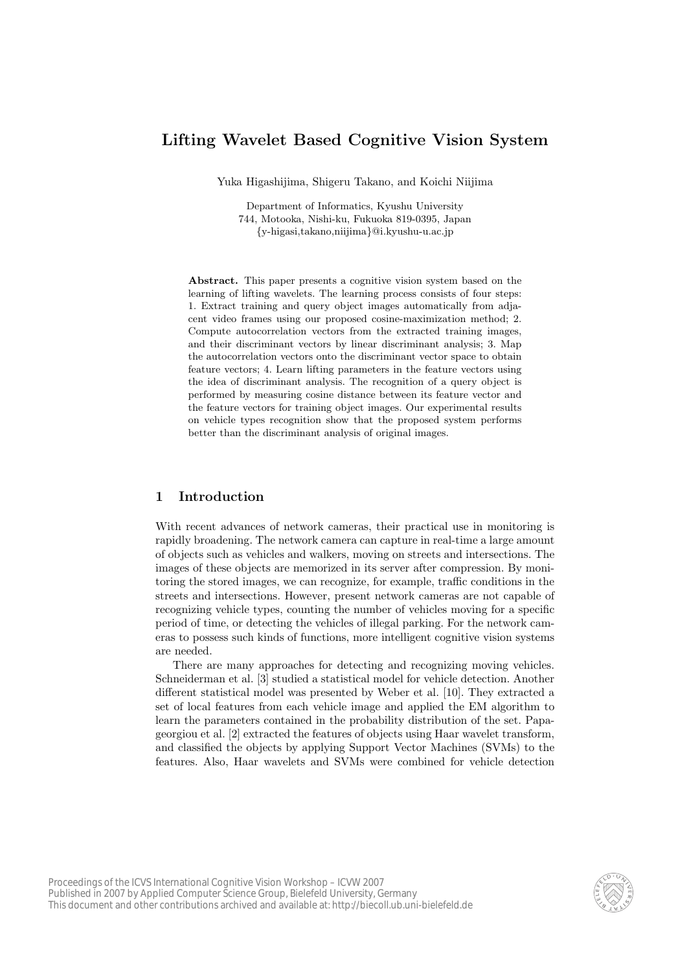# **Lifting Wavelet Based Cognitive Vision System**

Yuka Higashijima, Shigeru Takano, and Koichi Niijima

Department of Informatics, Kyushu University 744, Motooka, Nishi-ku, Fukuoka 819-0395, Japan *{*y-higasi,takano,niijima*}*@i.kyushu-u.ac.jp

**Abstract.** This paper presents a cognitive vision system based on the learning of lifting wavelets. The learning process consists of four steps: 1. Extract training and query object images automatically from adjacent video frames using our proposed cosine-maximization method; 2. Compute autocorrelation vectors from the extracted training images, and their discriminant vectors by linear discriminant analysis; 3. Map the autocorrelation vectors onto the discriminant vector space to obtain feature vectors; 4. Learn lifting parameters in the feature vectors using the idea of discriminant analysis. The recognition of a query object is performed by measuring cosine distance between its feature vector and the feature vectors for training object images. Our experimental results on vehicle types recognition show that the proposed system performs better than the discriminant analysis of original images.

## **1 Introduction**

With recent advances of network cameras, their practical use in monitoring is rapidly broadening. The network camera can capture in real-time a large amount of objects such as vehicles and walkers, moving on streets and intersections. The images of these objects are memorized in its server after compression. By monitoring the stored images, we can recognize, for example, traffic conditions in the streets and intersections. However, present network cameras are not capable of recognizing vehicle types, counting the number of vehicles moving for a specific period of time, or detecting the vehicles of illegal parking. For the network cameras to possess such kinds of functions, more intelligent cognitive vision systems are needed.

There are many approaches for detecting and recognizing moving vehicles. Schneiderman et al. [3] studied a statistical model for vehicle detection. Another different statistical model was presented by Weber et al. [10]. They extracted a set of local features from each vehicle image and applied the EM algorithm to learn the parameters contained in the probability distribution of the set. Papageorgiou et al. [2] extracted the features of objects using Haar wavelet transform, and classified the objects by applying Support Vector Machines (SVMs) to the features. Also, Haar wavelets and SVMs were combined for vehicle detection

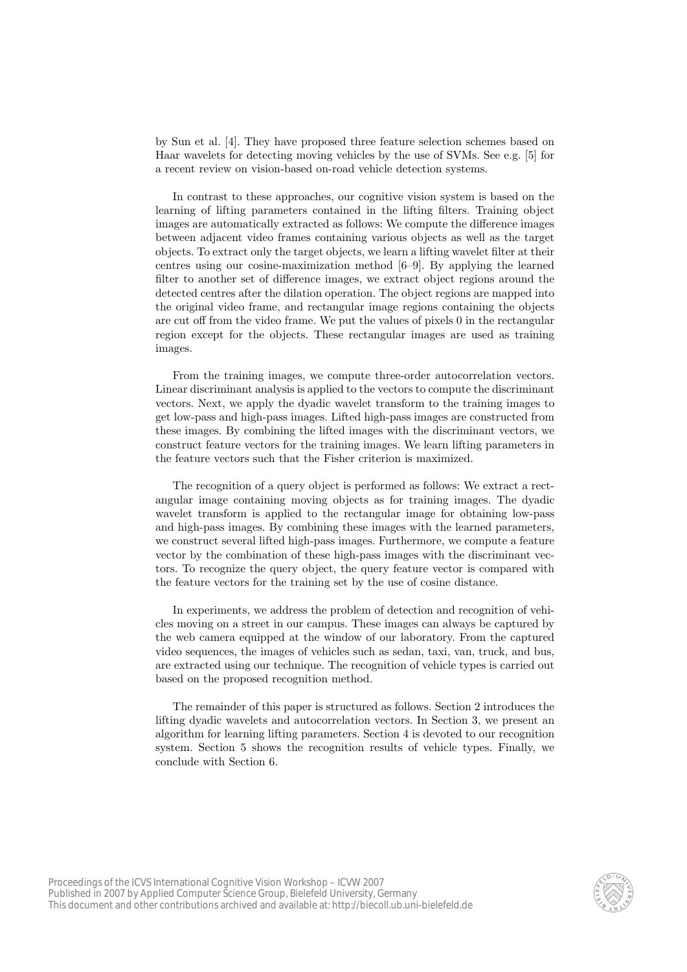by Sun et al. [4]. They have proposed three feature selection schemes based on Haar wavelets for detecting moving vehicles by the use of SVMs. See e.g. [5] for a recent review on vision-based on-road vehicle detection systems.

In contrast to these approaches, our cognitive vision system is based on the learning of lifting parameters contained in the lifting filters. Training object images are automatically extracted as follows: We compute the difference images between adjacent video frames containing various objects as well as the target objects. To extract only the target objects, we learn a lifting wavelet filter at their centres using our cosine-maximization method [6–9]. By applying the learned filter to another set of difference images, we extract object regions around the detected centres after the dilation operation. The object regions are mapped into the original video frame, and rectangular image regions containing the objects are cut off from the video frame. We put the values of pixels 0 in the rectangular region except for the objects. These rectangular images are used as training images.

From the training images, we compute three-order autocorrelation vectors. Linear discriminant analysis is applied to the vectors to compute the discriminant vectors. Next, we apply the dyadic wavelet transform to the training images to get low-pass and high-pass images. Lifted high-pass images are constructed from these images. By combining the lifted images with the discriminant vectors, we construct feature vectors for the training images. We learn lifting parameters in the feature vectors such that the Fisher criterion is maximized.

The recognition of a query object is performed as follows: We extract a rectangular image containing moving objects as for training images. The dyadic wavelet transform is applied to the rectangular image for obtaining low-pass and high-pass images. By combining these images with the learned parameters, we construct several lifted high-pass images. Furthermore, we compute a feature vector by the combination of these high-pass images with the discriminant vectors. To recognize the query object, the query feature vector is compared with the feature vectors for the training set by the use of cosine distance.

In experiments, we address the problem of detection and recognition of vehicles moving on a street in our campus. These images can always be captured by the web camera equipped at the window of our laboratory. From the captured video sequences, the images of vehicles such as sedan, taxi, van, truck, and bus, are extracted using our technique. The recognition of vehicle types is carried out based on the proposed recognition method.

The remainder of this paper is structured as follows. Section 2 introduces the lifting dyadic wavelets and autocorrelation vectors. In Section 3, we present an algorithm for learning lifting parameters. Section 4 is devoted to our recognition system. Section 5 shows the recognition results of vehicle types. Finally, we conclude with Section 6.

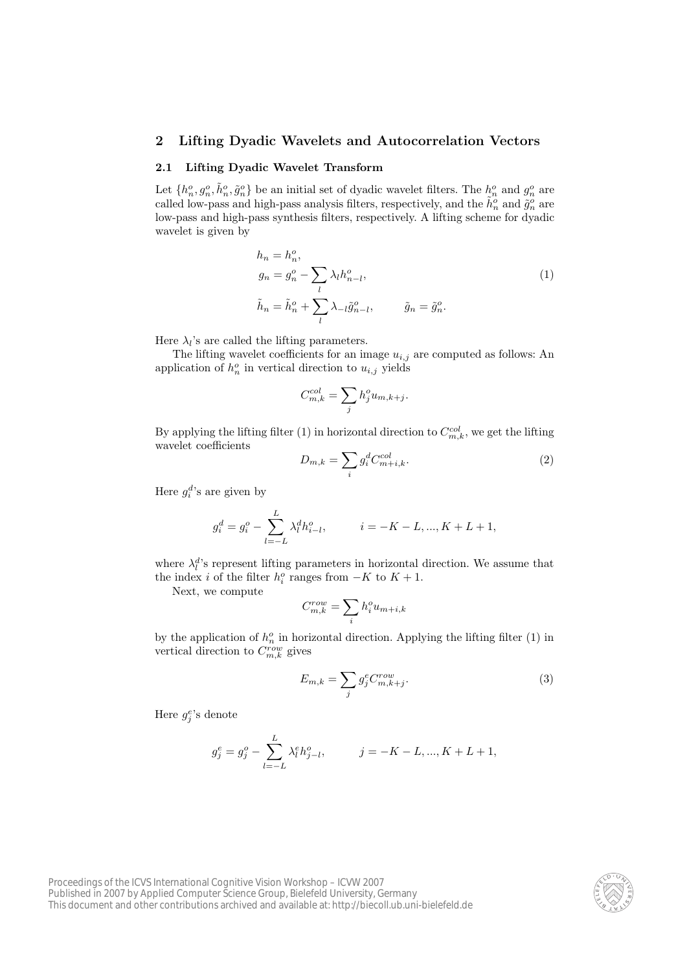## **2 Lifting Dyadic Wavelets and Autocorrelation Vectors**

#### **2.1 Lifting Dyadic Wavelet Transform**

Let  $\{h_n^o, g_n^o, \tilde{h}_n^o, \tilde{g}_n^o\}$  be an initial set of dyadic wavelet filters. The  $h_n^o$  and  $g_n^o$  are called low-pass and high-pass analysis filters, respectively, and the  $\tilde{h}_n^o$  and  $\tilde{g}_n^o$  are low-pass and high-pass synthesis filters, respectively. A lifting scheme for dyadic wavelet is given by

$$
h_n = h_n^o,
$$
  
\n
$$
g_n = g_n^o - \sum_l \lambda_l h_{n-l}^o,
$$
  
\n
$$
\tilde{h}_n = \tilde{h}_n^o + \sum_l \lambda_{-l} \tilde{g}_{n-l}^o,
$$
  
\n
$$
\tilde{g}_n = \tilde{g}_n^o.
$$
\n(1)

Here  $\lambda_l$ 's are called the lifting parameters.

The lifting wavelet coefficients for an image  $u_{i,j}$  are computed as follows: An application of  $h_n^o$  in vertical direction to  $u_{i,j}$  yields

$$
C_{m,k}^{col} = \sum_j h_j^o u_{m,k+j}.
$$

By applying the lifting filter (1) in horizontal direction to  $C_{m,k}^{col}$ , we get the lifting wavelet coefficients

$$
D_{m,k} = \sum_{i} g_i^d C_{m+i,k}^{col}.
$$
\n<sup>(2)</sup>

Here  $g_i^d$ 's are given by

$$
g_i^d = g_i^o - \sum_{l=-L}^{L} \lambda_l^d h_{i-l}^o, \qquad i = -K - L, ..., K + L + 1,
$$

where  $\lambda_l^d$ 's represent lifting parameters in horizontal direction. We assume that the index *i* of the filter  $h_i^o$  ranges from  $-K$  to  $K + 1$ .

Next, we compute

$$
C_{m,k}^{row} = \sum_i h_i^o u_{m+i,k}
$$

by the application of  $h_n^o$  in horizontal direction. Applying the lifting filter (1) in vertical direction to  $C_{m,k}^{row}$  gives

$$
E_{m,k} = \sum_{j} g_j^e C_{m,k+j}^{row}.
$$
\n(3)

Here  $g_j^e$ 's denote

$$
g_j^e = g_j^o - \sum_{l=-L}^{L} \lambda_l^e h_{j-l}^o, \qquad j = -K - L, ..., K + L + 1,
$$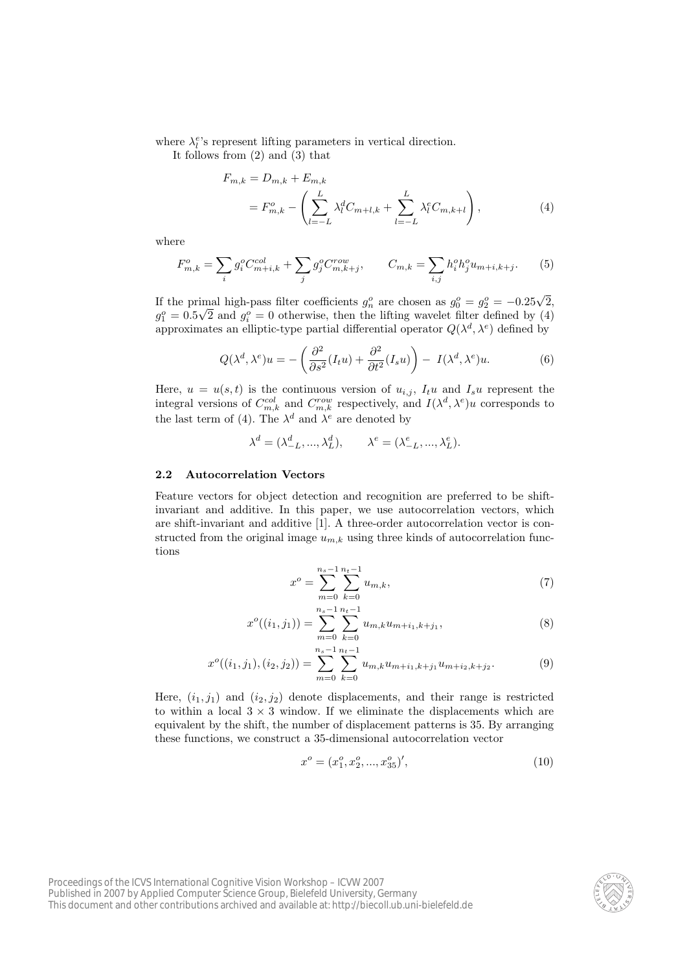where  $\lambda_l^e$ 's represent lifting parameters in vertical direction.

It follows from (2) and (3) that

$$
F_{m,k} = D_{m,k} + E_{m,k}
$$
  
=  $F_{m,k}^o - \left( \sum_{l=-L}^{L} \lambda_l^d C_{m+l,k} + \sum_{l=-L}^{L} \lambda_l^e C_{m,k+l} \right),$  (4)

where

$$
F_{m,k}^o = \sum_i g_i^o C_{m+i,k}^{col} + \sum_j g_j^o C_{m,k+j}^{row}, \qquad C_{m,k} = \sum_{i,j} h_i^o h_j^o u_{m+i,k+j}.
$$
 (5)

If the primal high-pass filter coefficients  $g_n^o$  are chosen as  $g_0^o = g_2^o = -0.25\sqrt{2}$ ,  $g_1^o = 0.5\sqrt{2}$  and  $g_i^o = 0$  otherwise, then the lifting wavelet filter defined by (4) approximates an elliptic-type partial differential operator  $Q(\lambda^d, \lambda^e)$  defined by

$$
Q(\lambda^d, \lambda^e)u = -\left(\frac{\partial^2}{\partial s^2}(I_t u) + \frac{\partial^2}{\partial t^2}(I_s u)\right) - I(\lambda^d, \lambda^e)u.
$$
 (6)

Here,  $u = u(s, t)$  is the continuous version of  $u_{i,j}$ ,  $I_t u$  and  $I_s u$  represent the integral versions of  $C_{m,k}^{col}$  and  $C_{m,k}^{row}$  respectively, and  $I(\lambda^d, \lambda^e)u$  corresponds to the last term of (4). The  $\lambda^d$  and  $\lambda^e$  are denoted by

$$
\lambda^d = (\lambda_{-L}^d, ..., \lambda_L^d), \qquad \lambda^e = (\lambda_{-L}^e, ..., \lambda_L^e).
$$

#### **2.2 Autocorrelation Vectors**

Feature vectors for object detection and recognition are preferred to be shiftinvariant and additive. In this paper, we use autocorrelation vectors, which are shift-invariant and additive [1]. A three-order autocorrelation vector is constructed from the original image  $u_{m,k}$  using three kinds of autocorrelation functions

$$
x^{o} = \sum_{m=0}^{n_{s}-1} \sum_{k=0}^{n_{t}-1} u_{m,k},
$$
\n(7)

$$
x^{o}((i_1,j_1)) = \sum_{m=0}^{n_s-1} \sum_{k=0}^{n_t-1} u_{m,k} u_{m+i_1,k+j_1},
$$
\n(8)

$$
x^{o}((i_1,j_1),(i_2,j_2)) = \sum_{m=0}^{n_s-1} \sum_{k=0}^{n_t-1} u_{m,k} u_{m+i_1,k+j_1} u_{m+i_2,k+j_2}.
$$
 (9)

Here,  $(i_1, j_1)$  and  $(i_2, j_2)$  denote displacements, and their range is restricted to within a local  $3 \times 3$  window. If we eliminate the displacements which are equivalent by the shift, the number of displacement patterns is 35. By arranging these functions, we construct a 35-dimensional autocorrelation vector

$$
x^o = (x_1^o, x_2^o, ..., x_{35}^o)', \tag{10}
$$

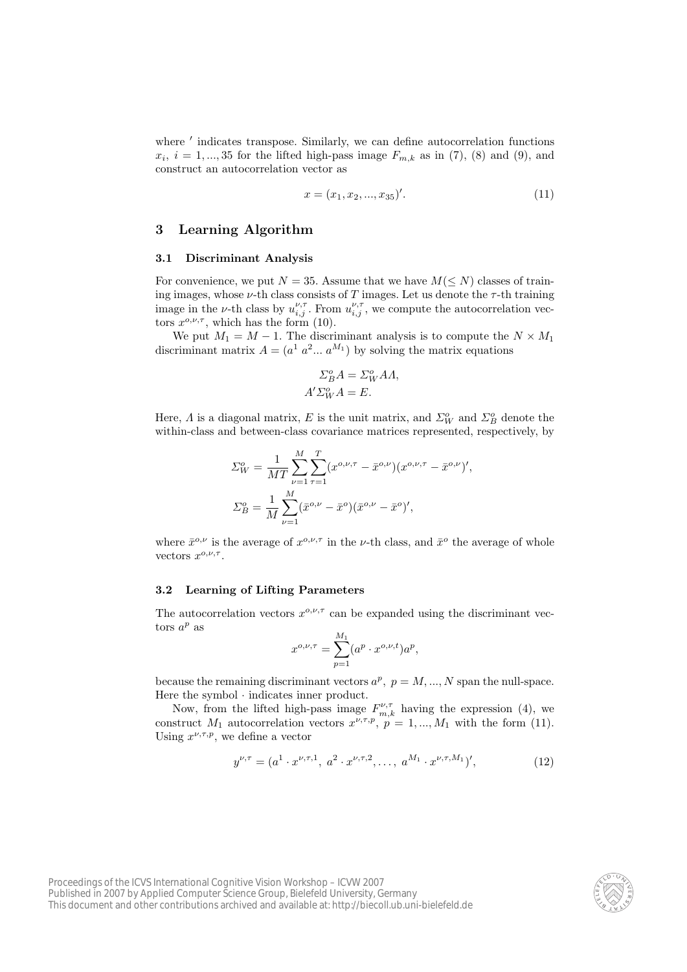where  $\prime$  indicates transpose. Similarly, we can define autocorrelation functions  $x_i$ ,  $i = 1, \ldots, 35$  for the lifted high-pass image  $F_{m,k}$  as in (7), (8) and (9), and construct an autocorrelation vector as

$$
x = (x_1, x_2, ..., x_{35})'.
$$
\n<sup>(11)</sup>

### **3 Learning Algorithm**

#### **3.1 Discriminant Analysis**

For convenience, we put  $N = 35$ . Assume that we have  $M(\leq N)$  classes of training images, whose  $\nu$ -th class consists of *T* images. Let us denote the  $\tau$ -th training image in the *ν*-th class by  $u_{i,j}^{\nu,\tau}$ . From  $u_{i,j}^{\nu,\tau}$ , we compute the autocorrelation vectors  $x^{\rho,\nu,\tau}$ , which has the form (10).

We put  $M_1 = M - 1$ . The discriminant analysis is to compute the  $N \times M_1$ discriminant matrix  $A = (a^1 \ a^2 ... \ a^{M_1})$  by solving the matrix equations

$$
\Sigma_B^o A = \Sigma_W^o A A,
$$
  

$$
A' \Sigma_W^o A = E.
$$

Here,  $\Lambda$  is a diagonal matrix,  $E$  is the unit matrix, and  $\Sigma_W^o$  and  $\Sigma_B^o$  denote the within-class and between-class covariance matrices represented, respectively, by

$$
\Sigma_W^o = \frac{1}{MT} \sum_{\nu=1}^M \sum_{\tau=1}^T (x^{o,\nu,\tau} - \bar{x}^{o,\nu})(x^{o,\nu,\tau} - \bar{x}^{o,\nu})',
$$
  

$$
\Sigma_B^o = \frac{1}{M} \sum_{\nu=1}^M (\bar{x}^{o,\nu} - \bar{x}^o)(\bar{x}^{o,\nu} - \bar{x}^o)',
$$

where  $\bar{x}^{o,\nu}$  is the average of  $x^{o,\nu,\tau}$  in the *ν*-th class, and  $\bar{x}^o$  the average of whole vectors  $x^{o,\nu,\tau}$ .

### **3.2 Learning of Lifting Parameters**

The autocorrelation vectors  $x^{\text{o}, \nu, \tau}$  can be expanded using the discriminant vectors  $a^p$  as

$$
x^{o,\nu,\tau} = \sum_{p=1}^{M_1} (a^p \cdot x^{o,\nu,t}) a^p,
$$

because the remaining discriminant vectors  $a^p$ ,  $p = M, ..., N$  span the null-space. Here the symbol *·* indicates inner product.

Now, from the lifted high-pass image  $F^{\nu,\tau}_{m,k}$  having the expression (4), we construct  $M_1$  autocorrelation vectors  $x^{\nu, \tau, p}$ ,  $p = 1, ..., M_1$  with the form (11). Using  $x^{\nu,\tau,p}$ , we define a vector

$$
y^{\nu,\tau} = (a^1 \cdot x^{\nu,\tau,1}, a^2 \cdot x^{\nu,\tau,2}, \dots, a^{M_1} \cdot x^{\nu,\tau,M_1})', \tag{12}
$$

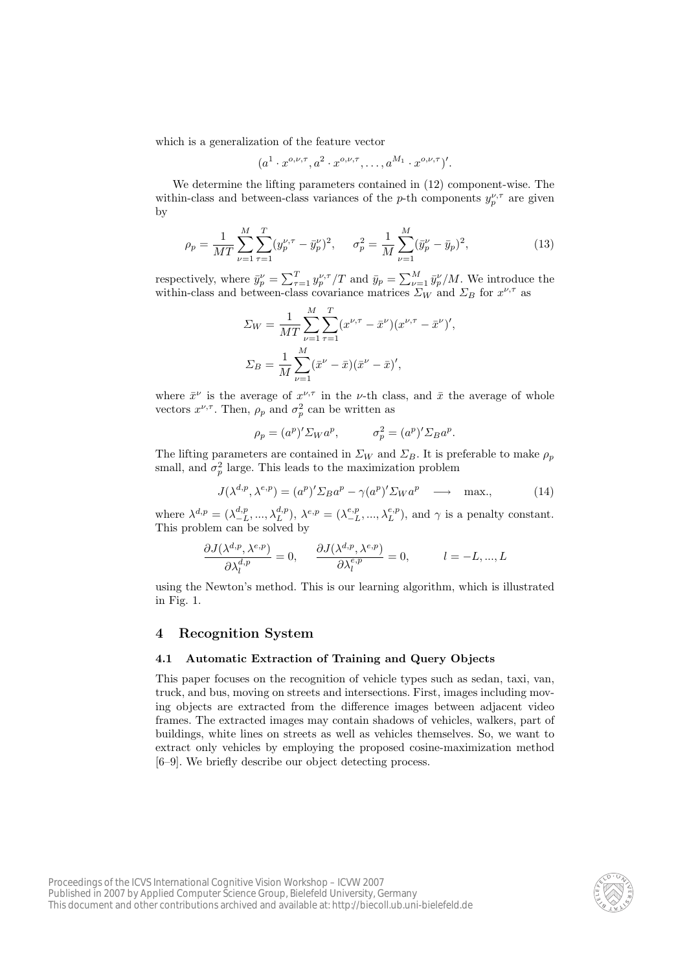which is a generalization of the feature vector

$$
(a^1 \cdot x^{o,\nu,\tau}, a^2 \cdot x^{o,\nu,\tau}, \dots, a^{M_1} \cdot x^{o,\nu,\tau})'.
$$

We determine the lifting parameters contained in (12) component-wise. The within-class and between-class variances of the *p*-th components  $y_p^{\nu,\tau}$  are given by

$$
\rho_p = \frac{1}{MT} \sum_{\nu=1}^{M} \sum_{\tau=1}^{T} (y_p^{\nu,\tau} - \bar{y}_p^{\nu})^2, \quad \sigma_p^2 = \frac{1}{M} \sum_{\nu=1}^{M} (\bar{y}_p^{\nu} - \bar{y}_p)^2,
$$
(13)

respectively, where  $\bar{y}_p^{\nu} = \sum_{\tau=1}^T y_p^{\nu,\tau}/T$  and  $\bar{y}_p = \sum_{\nu=1}^M \bar{y}_p^{\nu}/M$ . We introduce the within-class and between-class covariance matrices  $\sum_W$  and  $\sum_B$  for  $x^{\nu, \tau}$  as

$$
\Sigma_W = \frac{1}{MT} \sum_{\nu=1}^{M} \sum_{\tau=1}^{T} (x^{\nu,\tau} - \bar{x}^{\nu})(x^{\nu,\tau} - \bar{x}^{\nu})',
$$
  

$$
\Sigma_B = \frac{1}{M} \sum_{\nu=1}^{M} (\bar{x}^{\nu} - \bar{x})(\bar{x}^{\nu} - \bar{x})',
$$

where  $\bar{x}^{\nu}$  is the average of  $x^{\nu,\tau}$  in the *ν*-th class, and  $\bar{x}$  the average of whole vectors  $x^{\nu,\tau}$ . Then,  $\rho_p$  and  $\sigma_p^2$  can be written as

$$
\rho_p = (a^p)' \Sigma_W a^p, \qquad \sigma_p^2 = (a^p)' \Sigma_B a^p.
$$

The lifting parameters are contained in  $\Sigma_W$  and  $\Sigma_B$ . It is preferable to make  $\rho_p$ small, and  $\sigma_p^2$  large. This leads to the maximization problem

$$
J(\lambda^{d,p}, \lambda^{e,p}) = (a^p)' \Sigma_B a^p - \gamma (a^p)' \Sigma_W a^p \longrightarrow \max. \tag{14}
$$

where  $\lambda^{d,p} = (\lambda^{d,p}_{-L}, ..., \lambda^{d,p}_{L}), \lambda^{e,p} = (\lambda^{e,p}_{-L}, ..., \lambda^{e,p}_{L}),$  and  $\gamma$  is a penalty constant. This problem can be solved by

$$
\frac{\partial J(\lambda^{d,p}, \lambda^{e,p})}{\partial \lambda_l^{d,p}} = 0, \qquad \frac{\partial J(\lambda^{d,p}, \lambda^{e,p})}{\partial \lambda_l^{e,p}} = 0, \qquad l = -L, ..., L
$$

using the Newton's method. This is our learning algorithm, which is illustrated in Fig. 1.

### **4 Recognition System**

#### **4.1 Automatic Extraction of Training and Query Objects**

This paper focuses on the recognition of vehicle types such as sedan, taxi, van, truck, and bus, moving on streets and intersections. First, images including moving objects are extracted from the difference images between adjacent video frames. The extracted images may contain shadows of vehicles, walkers, part of buildings, white lines on streets as well as vehicles themselves. So, we want to extract only vehicles by employing the proposed cosine-maximization method [6–9]. We briefly describe our object detecting process.

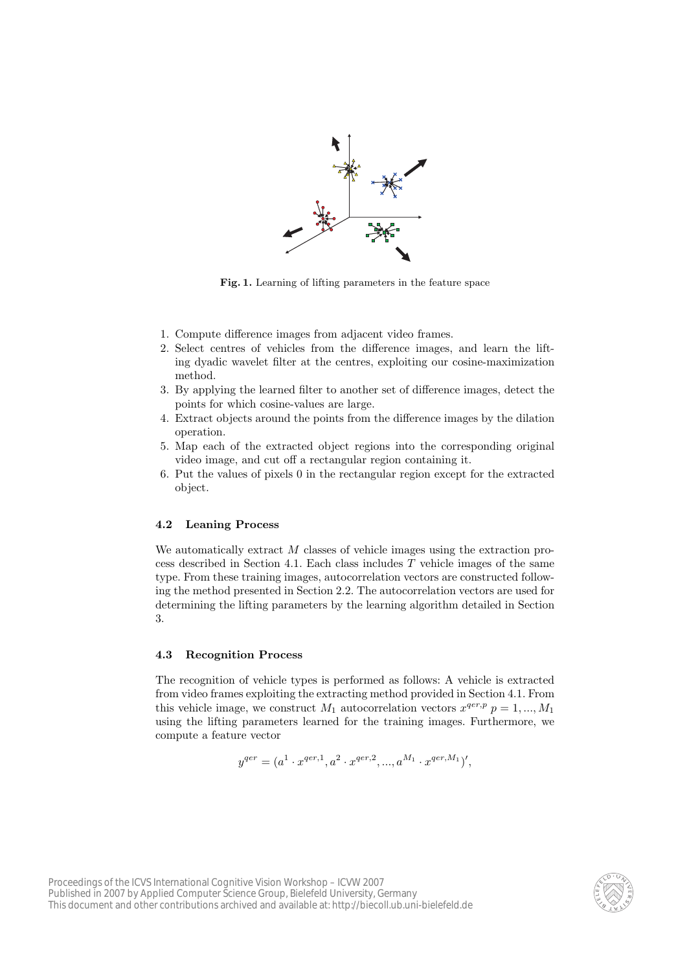

**Fig. 1.** Learning of lifting parameters in the feature space

- 1. Compute difference images from adjacent video frames.
- 2. Select centres of vehicles from the difference images, and learn the lifting dyadic wavelet filter at the centres, exploiting our cosine-maximization method.
- 3. By applying the learned filter to another set of difference images, detect the points for which cosine-values are large.
- 4. Extract objects around the points from the difference images by the dilation operation.
- 5. Map each of the extracted object regions into the corresponding original video image, and cut off a rectangular region containing it.
- 6. Put the values of pixels 0 in the rectangular region except for the extracted object.

#### **4.2 Leaning Process**

We automatically extract *M* classes of vehicle images using the extraction process described in Section 4.1. Each class includes *T* vehicle images of the same type. From these training images, autocorrelation vectors are constructed following the method presented in Section 2.2. The autocorrelation vectors are used for determining the lifting parameters by the learning algorithm detailed in Section 3.

#### **4.3 Recognition Process**

The recognition of vehicle types is performed as follows: A vehicle is extracted from video frames exploiting the extracting method provided in Section 4.1. From this vehicle image, we construct  $M_1$  autocorrelation vectors  $x^{qer,p}$   $p = 1, ..., M_1$ using the lifting parameters learned for the training images. Furthermore, we compute a feature vector

$$
y^{qer} = (a^1 \cdot x^{qer,1}, a^2 \cdot x^{qer,2}, ..., a^{M_1} \cdot x^{qer,M_1})',
$$

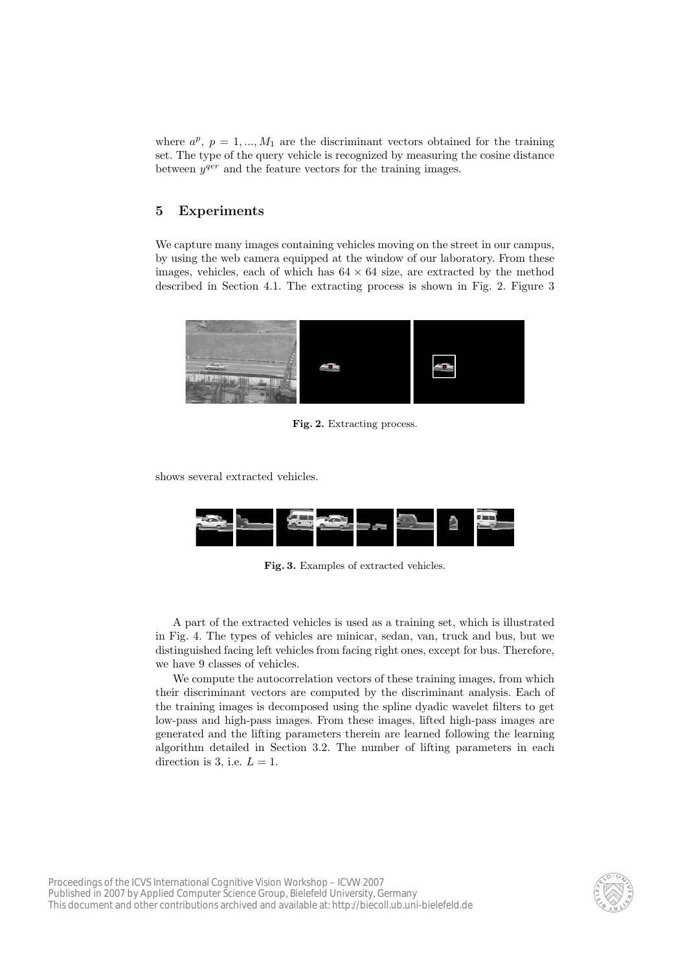where  $a^p$ ,  $p = 1, ..., M_1$  are the discriminant vectors obtained for the training set. The type of the query vehicle is recognized by measuring the cosine distance between  $y^{qer}$  and the feature vectors for the training images.

## **5 Experiments**

We capture many images containing vehicles moving on the street in our campus, by using the web camera equipped at the window of our laboratory. From these images, vehicles, each of which has  $64 \times 64$  size, are extracted by the method described in Section 4.1. The extracting process is shown in Fig. 2. Figure 3



**Fig. 2.** Extracting process.

shows several extracted vehicles.



**Fig. 3.** Examples of extracted vehicles.

A part of the extracted vehicles is used as a training set, which is illustrated in Fig. 4. The types of vehicles are minicar, sedan, van, truck and bus, but we distinguished facing left vehicles from facing right ones, except for bus. Therefore, we have 9 classes of vehicles.

We compute the autocorrelation vectors of these training images, from which their discriminant vectors are computed by the discriminant analysis. Each of the training images is decomposed using the spline dyadic wavelet filters to get low-pass and high-pass images. From these images, lifted high-pass images are generated and the lifting parameters therein are learned following the learning algorithm detailed in Section 3.2. The number of lifting parameters in each direction is 3, i.e.  $L = 1$ .

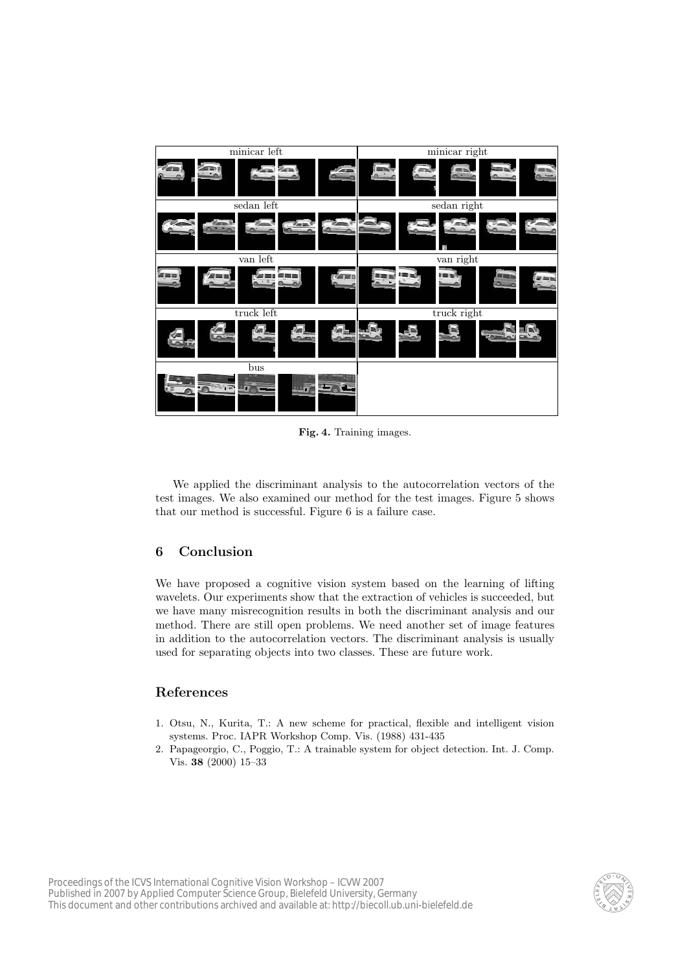

**Fig. 4.** Training images.

We applied the discriminant analysis to the autocorrelation vectors of the test images. We also examined our method for the test images. Figure 5 shows that our method is successful. Figure 6 is a failure case.

## **6 Conclusion**

We have proposed a cognitive vision system based on the learning of lifting wavelets. Our experiments show that the extraction of vehicles is succeeded, but we have many misrecognition results in both the discriminant analysis and our method. There are still open problems. We need another set of image features in addition to the autocorrelation vectors. The discriminant analysis is usually used for separating objects into two classes. These are future work.

## **References**

- 1. Otsu, N., Kurita, T.: A new scheme for practical, flexible and intelligent vision systems. Proc. IAPR Workshop Comp. Vis. (1988) 431-435
- 2. Papageorgio, C., Poggio, T.: A trainable system for object detection. Int. J. Comp. Vis. **38** (2000) 15–33